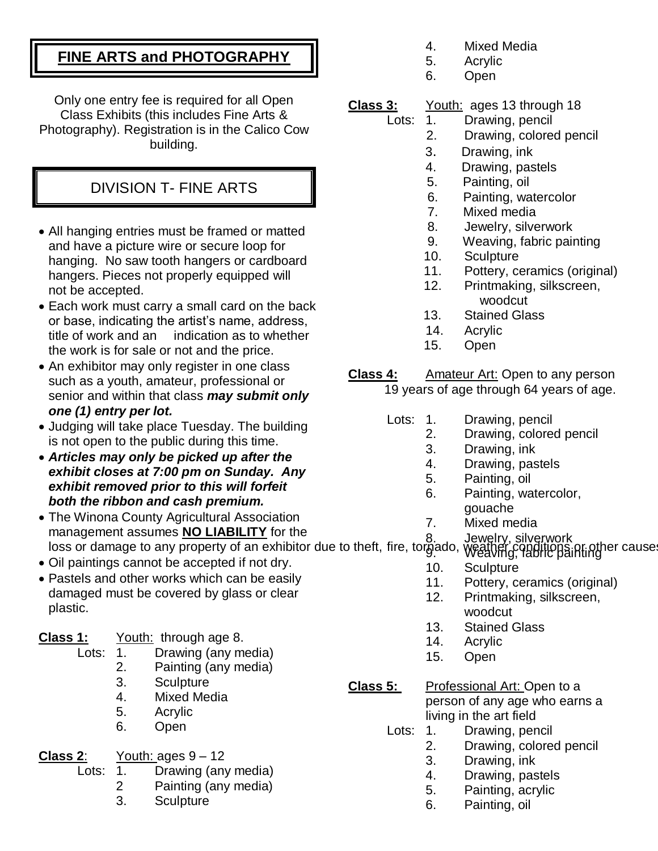# **FINE ARTS and PHOTOGRAPHY**

Only one entry fee is required for all Open Class Exhibits (this includes Fine Arts & Photography). Registration is in the Calico Cow building.

## DIVISION T- FINE ARTS

- All hanging entries must be framed or matted and have a picture wire or secure loop for hanging. No saw tooth hangers or cardboard hangers. Pieces not properly equipped will not be accepted.
- Each work must carry a small card on the back or base, indicating the artist's name, address, title of work and an indication as to whether the work is for sale or not and the price.
- An exhibitor may only register in one class such as a youth, amateur, professional or senior and within that class *may submit only one (1) entry per lot.*
- Judging will take place Tuesday. The building is not open to the public during this time.
- *Articles may only be picked up after the exhibit closes at 7:00 pm on Sunday. Any exhibit removed prior to this will forfeit both the ribbon and cash premium.*
- The Winona County Agricultural Association management assumes **NO LIABILITY** for the loss or damage to any property of an exhibitor due to theft, fire, torgado, weather conditions or other cause.
- Oil paintings cannot be accepted if not dry.
- Pastels and other works which can be easily damaged must be covered by glass or clear plastic.

**Class 1:** Youth: through age 8.

- Lots: 1. Drawing (any media)
	- 2. Painting (any media)
		- 3. Sculpture
		- 4. Mixed Media
		- 5. Acrylic
	- 6. Open
- **Class 2**: Youth: ages 9 12
	- Lots: 1. Drawing (any media)
		- 2 Painting (any media)
		- 3. Sculpture
- 4. Mixed Media
- 5. Acrylic
- 6. Open

### **Class 3:** Youth: ages 13 through 18

- Lots: 1. Drawing, pencil
	- 2. Drawing, colored pencil
		- 3.Drawing, ink
		- 4. Drawing, pastels
		- 5. Painting, oil
		- 6. Painting, watercolor
			- 7. Mixed media
		- 8. Jewelry, silverwork
		- 9. Weaving, fabric painting
		- 10. Sculpture
		- 11. Pottery, ceramics (original)
		- 12. Printmaking, silkscreen, woodcut
		- 13. Stained Glass
		- 14. Acrylic
		- 15. Open

**Class 4:** Amateur Art: Open to any person 19 years of age through 64 years of age.

- Lots: 1. Drawing, pencil
	- 2. Drawing, colored pencil
	- 3. Drawing, ink
	- 4. Drawing, pastels
	- 5. Painting, oil
	- 6. Painting, watercolor,
	- gouache
	- 7. Mixed media
	- 8. Jewelry, silverwork

g.<sup>ado,</sup> Weaving, fabric painting

- 10. Sculpture
- 11. Pottery, ceramics (original)
- 12. Printmaking, silkscreen, woodcut
- 13. Stained Glass
- 14. Acrylic
- 15. Open
- Class 5: Professional Art: Open to a person of any age who earns a living in the art field
	- Lots: 1. Drawing, pencil
		- 2. Drawing, colored pencil
		- 3. Drawing, ink
		- 4. Drawing, pastels
		- 5. Painting, acrylic
		- 6. Painting, oil